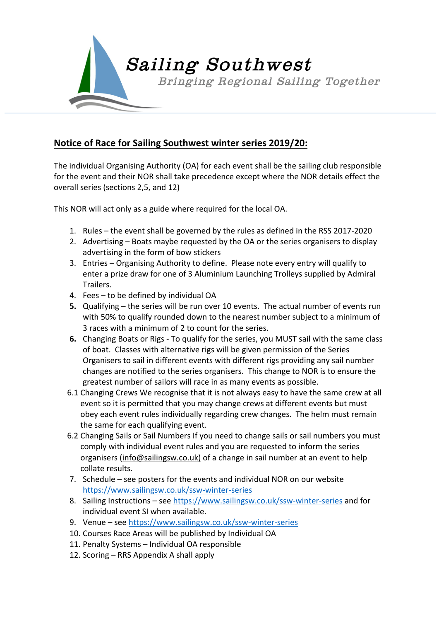

## **Notice of Race for Sailing Southwest winter series 2019/20:**

The individual Organising Authority (OA) for each event shall be the sailing club responsible for the event and their NOR shall take precedence except where the NOR details effect the overall series (sections 2,5, and 12)

This NOR will act only as a guide where required for the local OA.

- 1. Rules the event shall be governed by the rules as defined in the RSS 2017-2020
- 2. Advertising Boats maybe requested by the OA or the series organisers to display advertising in the form of bow stickers
- 3. Entries Organising Authority to define. Please note every entry will qualify to enter a prize draw for one of 3 Aluminium Launching Trolleys supplied by Admiral Trailers.
- 4. Fees to be defined by individual OA
- **5.** Qualifying the series will be run over 10 events. The actual number of events run with 50% to qualify rounded down to the nearest number subject to a minimum of 3 races with a minimum of 2 to count for the series.
- **6.** Changing Boats or Rigs To qualify for the series, you MUST sail with the same class of boat. Classes with alternative rigs will be given permission of the Series Organisers to sail in different events with different rigs providing any sail number changes are notified to the series organisers. This change to NOR is to ensure the greatest number of sailors will race in as many events as possible.
- 6.1 Changing Crews We recognise that it is not always easy to have the same crew at all event so it is permitted that you may change crews at different events but must obey each event rules individually regarding crew changes. The helm must remain the same for each qualifying event.
- 6.2 Changing Sails or Sail Numbers If you need to change sails or sail numbers you must comply with individual event rules and you are requested to inform the series organisers (info@sailingsw.co.uk) of a change in sail number at an event to help collate results.
- 7. Schedule see posters for the events and individual NOR on our website https://www.sailingsw.co.uk/ssw-winter-series
- 8. Sailing Instructions see https://www.sailingsw.co.uk/ssw-winter-series and for individual event SI when available.
- 9. Venue see https://www.sailingsw.co.uk/ssw-winter-series
- 10. Courses Race Areas will be published by Individual OA
- 11. Penalty Systems Individual OA responsible
- 12. Scoring RRS Appendix A shall apply